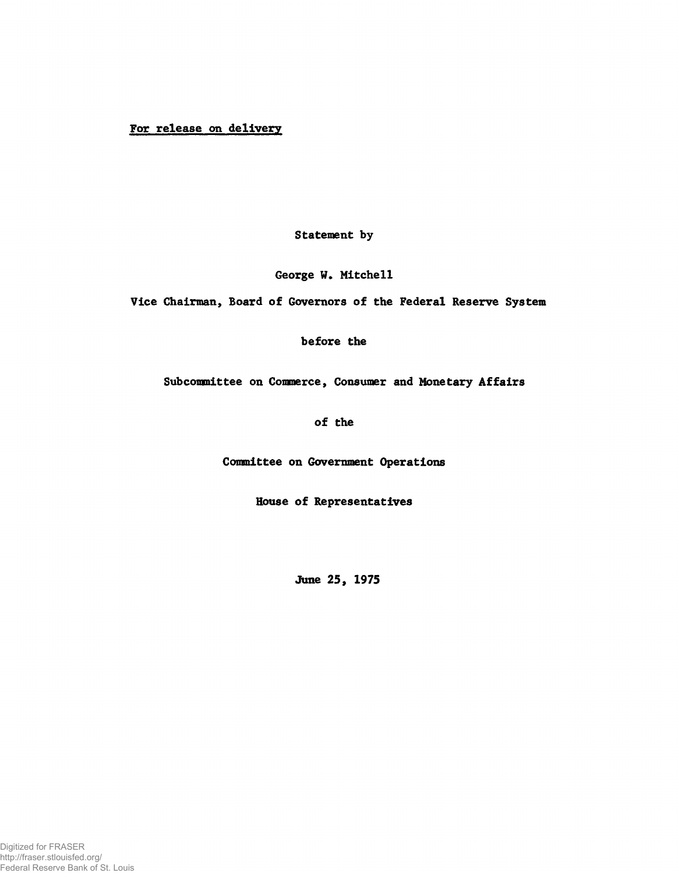## For release on delivery

Statement by

George W. Mitchell

Vice Chairman, Board of Governors of the Federal Reserve System

before the

Subcommittee on Commerce, Consumer and Monetary Affairs

of the

Committee on Government Operations

House of Representatives

June 25, 1975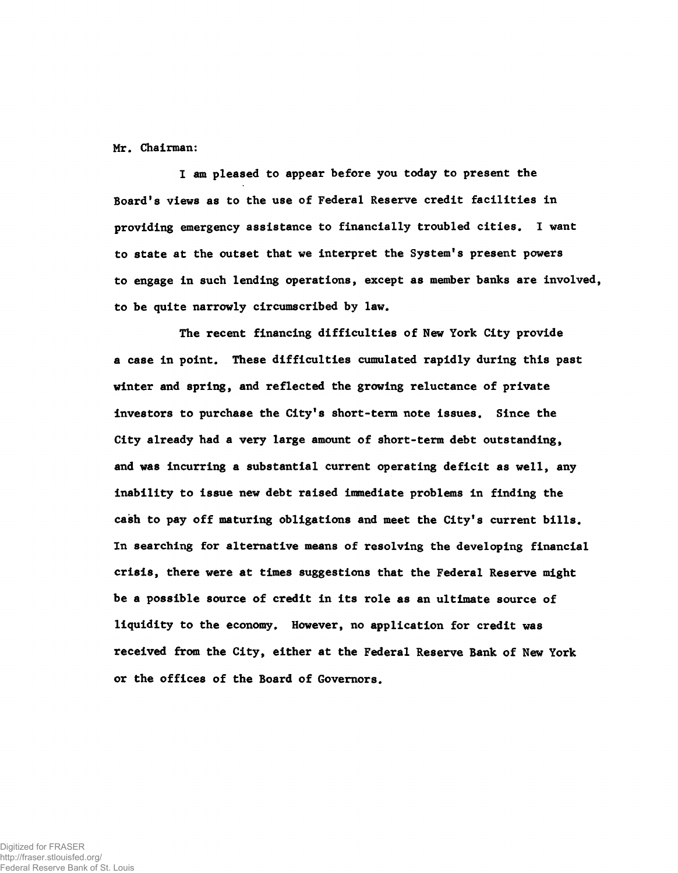Mr. Chairman:

I am pleased to appear before you today to present the Board's views as to the use of Federal Reserve credit facilities in providing emergency assistance to financially troubled cities. I want to state at the outset that we interpret the System's present powers to engage in such lending operations, except as member banks are involved, to be quite narrowly circumscribed by law.

The recent financing difficulties of New York City provide a case in point. These difficulties cumulated rapidly during this past winter and spring, and reflected the growing reluctance of private investors to purchase the City's short-term note issues. Since the City already had a very large amount of short-term debt outstanding, and was incurring a substantial current operating deficit as well, any inability to issue new debt raised immediate problems in finding the cash to pay off maturing obligations and meet the City's current bills. In searching for alternative means of resolving the developing financial crisis, there were at times suggestions that the Federal Reserve might be a possible source of credit in its role as an ultimate source of liquidity to the economy. However, no application for credit was received from the City, either at the Federal Reserve Bank of New York or the offices of the Board of Governors.

Digitized for FRASER http://fraser.stlouisfed.org/ Federal Reserve Bank of St. Louis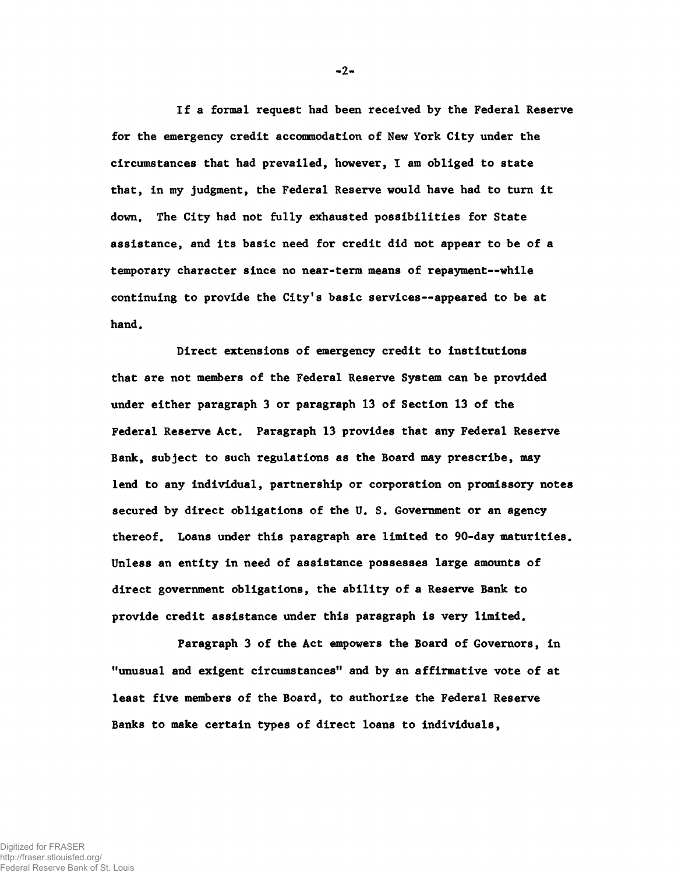If a formal request had been received by the Federal Reserve for the emergency credit accommodation of New York City under the circumstances that had prevailed, however, I am obliged to state that, in my judgment, the Federal Reserve would have had to turn it down. The City had not fully exhausted possibilities for State assistance, and its basic need for credit did not appear to be of a temporary character since no near-term means of repayment--while continuing to provide the City's basic services— appeared to be at hand.

Direct extensions of emergency credit to institutions that are not members of the Federal Reserve System can be provided under either paragraph 3 or paragraph 13 of Section 13 of the Federal Reserve Act. Paragraph 13 provides that any Federal Reserve Bank, subject to such regulations as the Board may prescribe, may lend to any individual, partnership or corporation on promissory notes secured by direct obligations of the U. S. Government or an agency thereof. Loans under this paragraph are limited to 90-day maturities. Unless an entity in need of assistance possesses large amounts of direct government obligations, the ability of a Reserve Bank to provide credit assistance under this paragraph is very limited.

Paragraph 3 of the Act empowers the Board of Governors, in "unusual and exigent circumstances" and by an affirmative vote of at least five members of the Board, to authorize the Federal Reserve Banks to make certain types of direct loans to individuals,

**-2**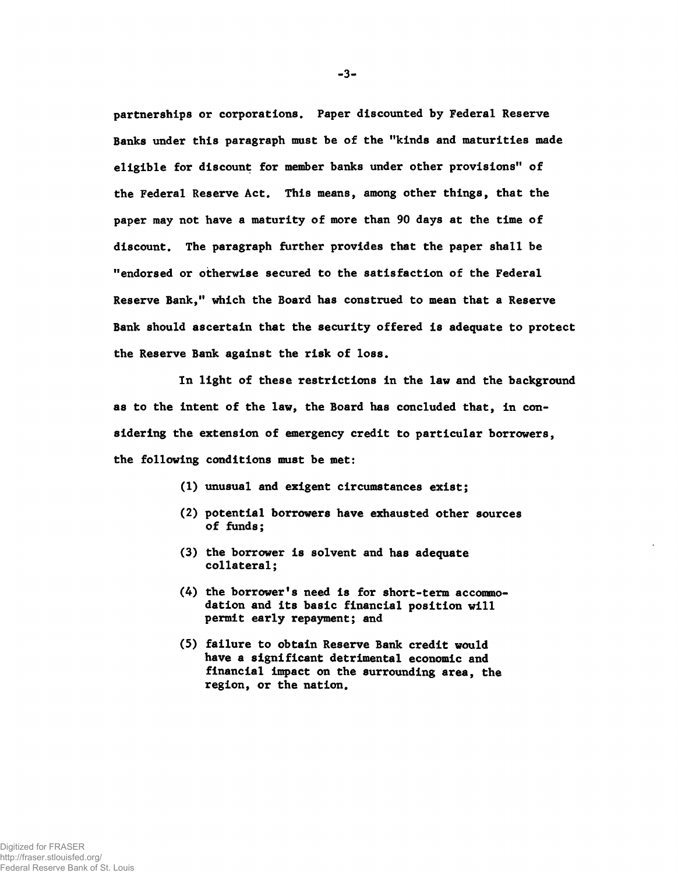partnerships or corporations. Paper discounted by Federal Reserve Banks under this paragraph must be of the "kinds and maturities made eligible for discount for member banks under other provisions" of the Federal Reserve Act. This means, among other things, that the paper may not have a maturity of more than 90 days at the time of discount. The paragraph further provides that the paper shall be "endorsed or otherwise secured to the satisfaction of the Federal Reserve Bank," which the Board has construed to mean that a Reserve Bank should ascertain that the security offered is adequate to protect the Reserve Bank against the risk of loss.

In light of these restrictions in the law and the background as to the intent of the law, the Board has concluded that, in considering the extension of emergency credit to particular borrowers, the following conditions must be met:

- (1) unusual and exigent circumstances exist;
- (2) potential borrowers have exhausted other sources of funds;
- (3) the borrower is solvent and has adequate collateral;
- (4) the borrower's need is for short-term accommodation and its basic financial position will permit early repayment; and
- (5) failure to obtain Reserve Bank credit would have a significant detrimental economic and financial impact on the surrounding area, the region, or the nation.

-3-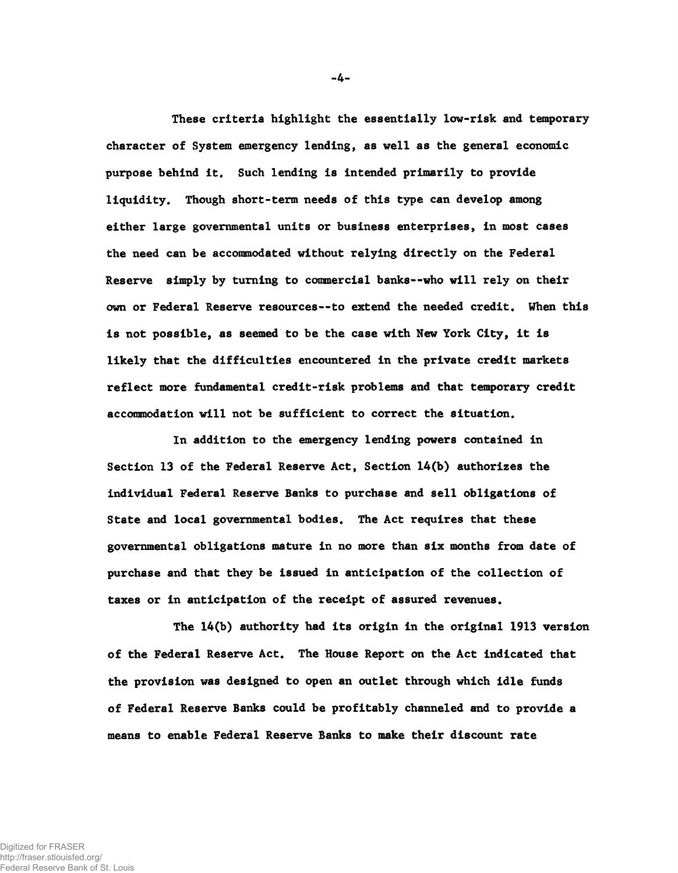These criteria highlight the essentially low-risk and temporary character of System emergency lending, as well as the general economic purpose behind it. Such lending is intended primarily to provide liquidity. Though short-term needs of this type can develop among either large governmental units or business enterprises, in most cases the need can be accommodated without relying directly on the Federal Reserve simply by turning to commercial banks--who will rely on their own or Federal Reserve resources— to extend the needed credit. When this is not possible, as seemed to be the case with New York City, it is likely that the difficulties encountered in the private credit markets reflect more fundamental credit-risk problems and that temporary credit accommodation will not be sufficient to correct the situation.

In addition to the emergency lending powers contained in Section 13 of the Federal Reserve Act, Section 14(b) authorizes the individual Federal Reserve Banks to purchase and sell obligations of State and local governmental bodies. The Act requires that these governmental obligations mature in no more than six months from date of purchase and that they be issued in anticipation of the collection of taxes or in anticipation of the receipt of assured revenues.

The 14(b) authority had its origin in the original 1913 version of the Federal Reserve Act. The House Report on the Act indicated that the provision was designed to open an outlet through which idle funds of Federal Reserve Banks could be profitably channeled and to provide a means to enable Federal Reserve Banks to make their discount rate

-4-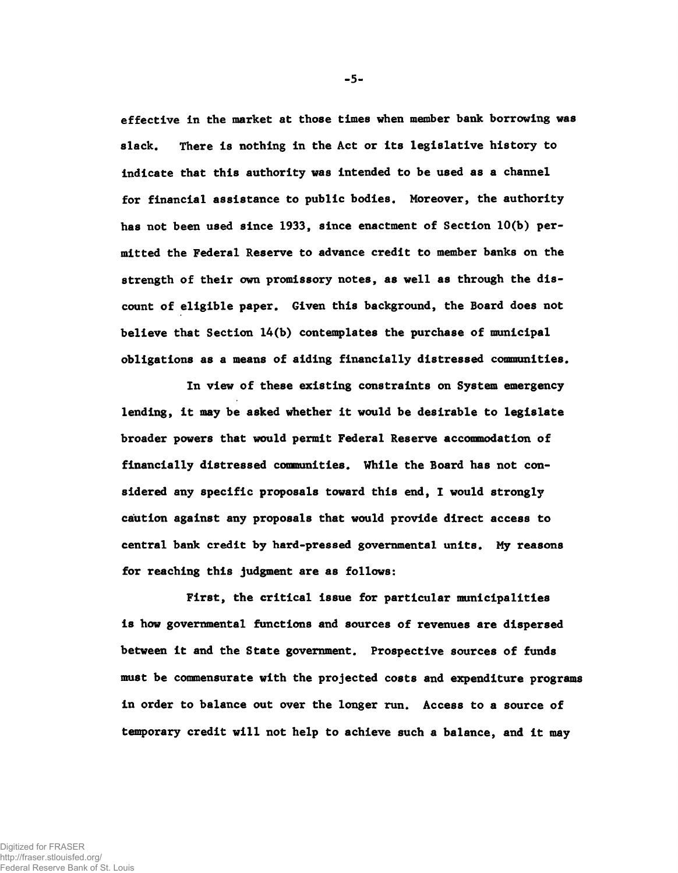effective in the market at those times when member bank borrowing was slack. There is nothing in the Act or its legislative history to indicate that this authority was intended to be used as a channel for financial assistance to public bodies. Moreover, the authority has not been used since 1933, since enactment of Section 10(b) permitted the Federal Reserve to advance credit to member banks on the strength of their own promissory notes, as well as through the discount of eligible paper. Given this background, the Board does not believe that Section 14(b) contemplates the purchase of municipal obligations as a means of aiding financially distressed communities.

In view of these existing constraints on System emergency lending, it may be asked whether it would be desirable to legislate broader powers that would permit Federal Reserve accommodation of financially distressed communities. While the Board has not considered any specific proposals toward this end, I would strongly caiution against any proposals that would provide direct access to central bank credit by hard-pressed governmental units. My reasons for reaching this judgment are as follows:

First, the critical issue for particular municipalities is how governmental functions and sources of revenues are dispersed between it and the State government. Prospective sources of funds must be commensurate with the projected costs and expenditure programs in order to balance out over the longer run. Access to a source of temporary credit will not help to achieve such a balance, and it may

**-5 -**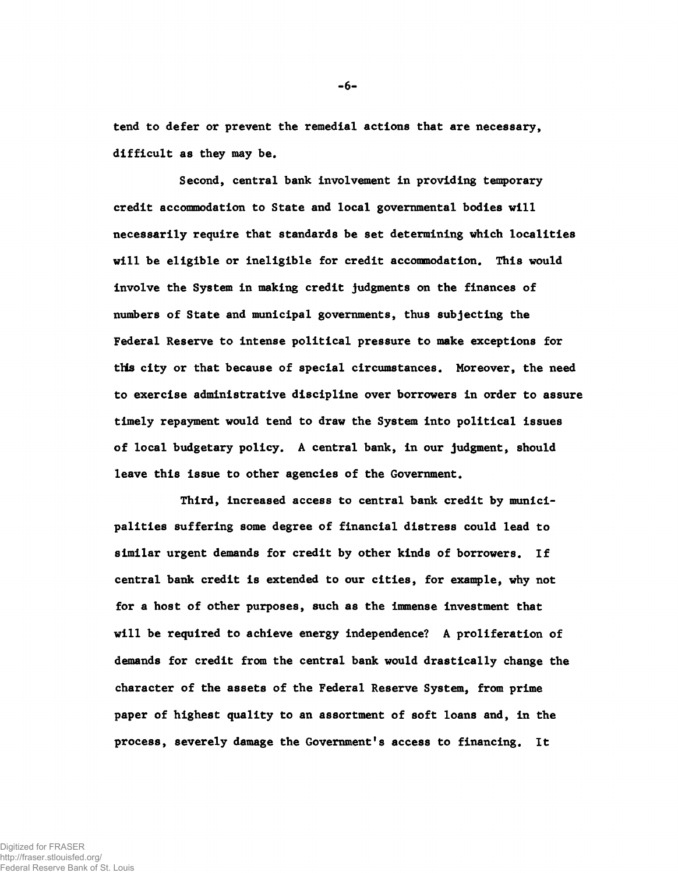tend to defer or prevent the remedial actions that are necessary, difficult as they may be.

Second, central bank involvement in providing temporary credit accommodation to State and local governmental bodies will necessarily require that standards be set determining which localities will be eligible or ineligible for credit accommodation. This would involve the System in making credit judgments on the finances of numbers of State and municipal governments, thus subjecting the Federal Reserve to intense political pressure to make exceptions for this city or that because of special circumstances. Moreover, the need to exercise administrative discipline over borrowers in order to assure timely repayment would tend to draw the System into political issues of local budgetary policy. A central bank, in our judgment, should leave this issue to other agencies of the Government.

Third, increased access to central bank credit by municipalities suffering some degree of financial distress could lead to similar urgent demands for credit by other kinds of borrowers. If central bank credit is extended to our cities, for example, why not for a host of other purposes, such as the immense investment that will be required to achieve energy independence? A proliferation of demands for credit from the central bank would drastically change the character of the assets of the Federal Reserve System, from prime paper of highest quality to an assortment of soft loans and, in the process, severely damage the Government's access to financing. It

**- 6 -**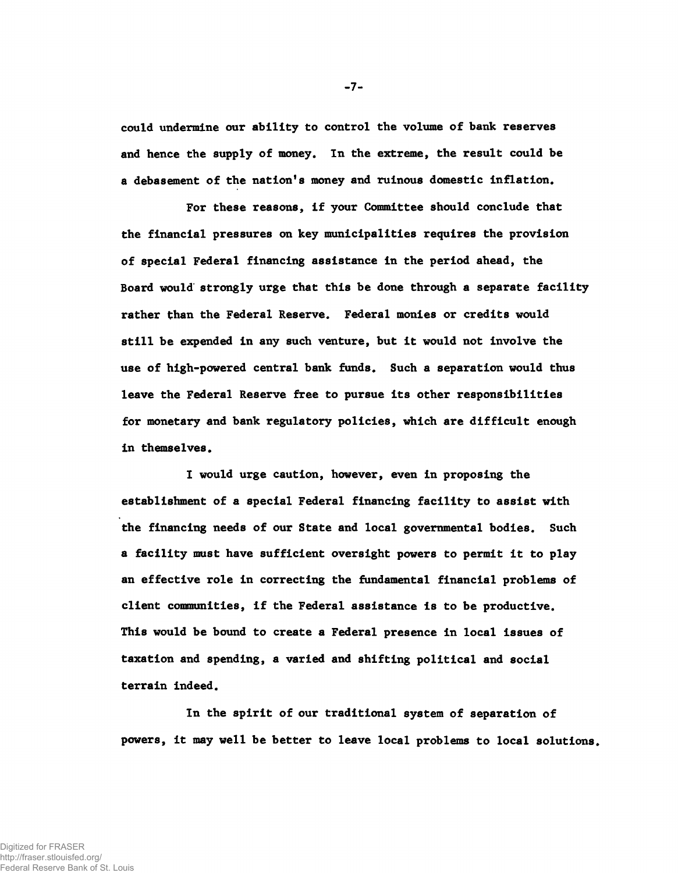could undermine our ability to control the volume of bank reserves and hence the supply of money. In the extreme, the result could be a debasement of the nation's money and ruinous domestic inflation.

For these reasons, if your Committee should conclude that the financial pressures on key municipalities requires the provision of special Federal financing assistance in the period ahead, the Board would strongly urge that this be done through a separate facility rather than the Federal Reserve. Federal monies or credits would still be expended in any such venture, but it would not involve the use of high-powered central bank funds. Such a separation would thus leave the Federal Reserve free to pursue its other responsibilities for monetary and bank regulatory policies, which are difficult enough in themselves.

I would urge caution, however, even in proposing the establishment of a special Federal financing facility to assist with the financing needs of our State and local governmental bodies. Such a facility must have sufficient oversight powers to permit it to play an effective role in correcting the fundamental financial problems of client communities, if the Federal assistance is to be productive. This would be bound to create a Federal presence in local issues of taxation and spending, a varied and shifting political and social terrain indeed.

In the spirit of our traditional system of separation of powers, it may well be better to leave local problems to local solutions.

-7-